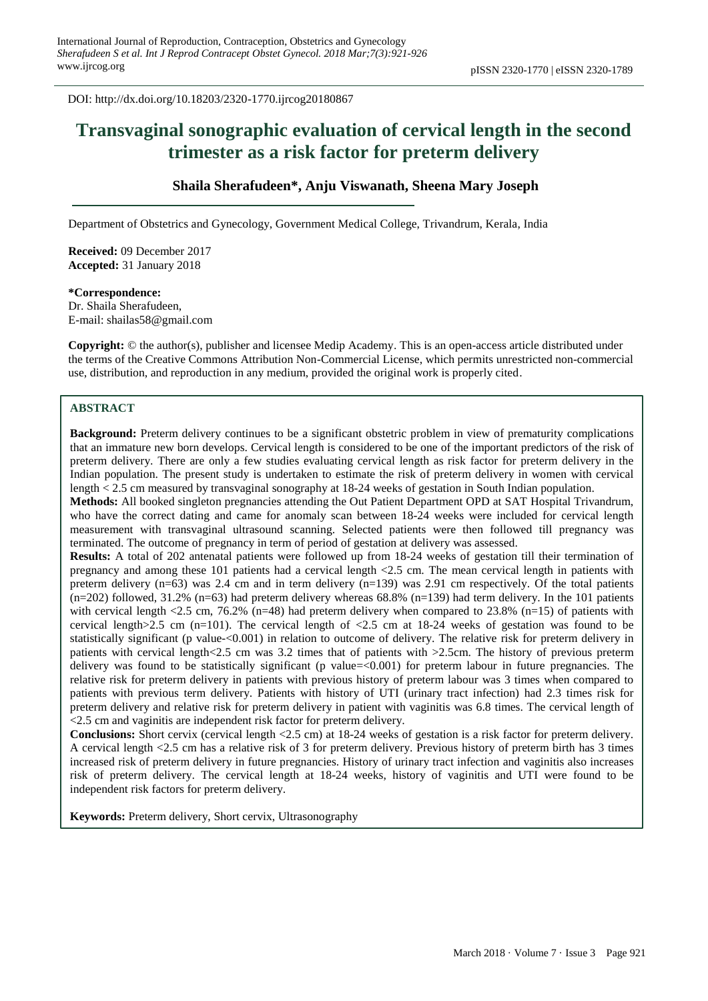**Original Research Article** DOI: http://dx.doi.org/10.18203/2320-1770.ijrcog20180867

# **Transvaginal sonographic evaluation of cervical length in the second trimester as a risk factor for preterm delivery**

## **Shaila Sherafudeen\*, Anju Viswanath, Sheena Mary Joseph**

Department of Obstetrics and Gynecology, Government Medical College, Trivandrum, Kerala, India

**Received:** 09 December 2017 **Accepted:** 31 January 2018

**\*Correspondence:** Dr. Shaila Sherafudeen, E-mail: shailas58@gmail.com

**Copyright:** © the author(s), publisher and licensee Medip Academy. This is an open-access article distributed under the terms of the Creative Commons Attribution Non-Commercial License, which permits unrestricted non-commercial use, distribution, and reproduction in any medium, provided the original work is properly cited.

## **ABSTRACT**

**Background:** Preterm delivery continues to be a significant obstetric problem in view of prematurity complications that an immature new born develops. Cervical length is considered to be one of the important predictors of the risk of preterm delivery. There are only a few studies evaluating cervical length as risk factor for preterm delivery in the Indian population. The present study is undertaken to estimate the risk of preterm delivery in women with cervical length < 2.5 cm measured by transvaginal sonography at 18-24 weeks of gestation in South Indian population.

**Methods:** All booked singleton pregnancies attending the Out Patient Department OPD at SAT Hospital Trivandrum, who have the correct dating and came for anomaly scan between 18-24 weeks were included for cervical length measurement with transvaginal ultrasound scanning. Selected patients were then followed till pregnancy was terminated. The outcome of pregnancy in term of period of gestation at delivery was assessed.

**Results:** A total of 202 antenatal patients were followed up from 18-24 weeks of gestation till their termination of pregnancy and among these 101 patients had a cervical length <2.5 cm. The mean cervical length in patients with preterm delivery (n=63) was 2.4 cm and in term delivery (n=139) was 2.91 cm respectively. Of the total patients  $(n=202)$  followed, 31.2%  $(n=63)$  had preterm delivery whereas 68.8%  $(n=139)$  had term delivery. In the 101 patients with cervical length <2.5 cm, 76.2% (n=48) had preterm delivery when compared to 23.8% (n=15) of patients with cervical length $>2.5$  cm (n=101). The cervical length of  $<2.5$  cm at 18-24 weeks of gestation was found to be statistically significant (p value-<0.001) in relation to outcome of delivery. The relative risk for preterm delivery in patients with cervical length<2.5 cm was 3.2 times that of patients with >2.5cm. The history of previous preterm delivery was found to be statistically significant (p value=<0.001) for preterm labour in future pregnancies. The relative risk for preterm delivery in patients with previous history of preterm labour was 3 times when compared to patients with previous term delivery. Patients with history of UTI (urinary tract infection) had 2.3 times risk for preterm delivery and relative risk for preterm delivery in patient with vaginitis was 6.8 times. The cervical length of <2.5 cm and vaginitis are independent risk factor for preterm delivery.

**Conclusions:** Short cervix (cervical length <2.5 cm) at 18-24 weeks of gestation is a risk factor for preterm delivery. A cervical length <2.5 cm has a relative risk of 3 for preterm delivery. Previous history of preterm birth has 3 times increased risk of preterm delivery in future pregnancies. History of urinary tract infection and vaginitis also increases risk of preterm delivery. The cervical length at 18-24 weeks, history of vaginitis and UTI were found to be independent risk factors for preterm delivery.

**Keywords:** Preterm delivery, Short cervix, Ultrasonography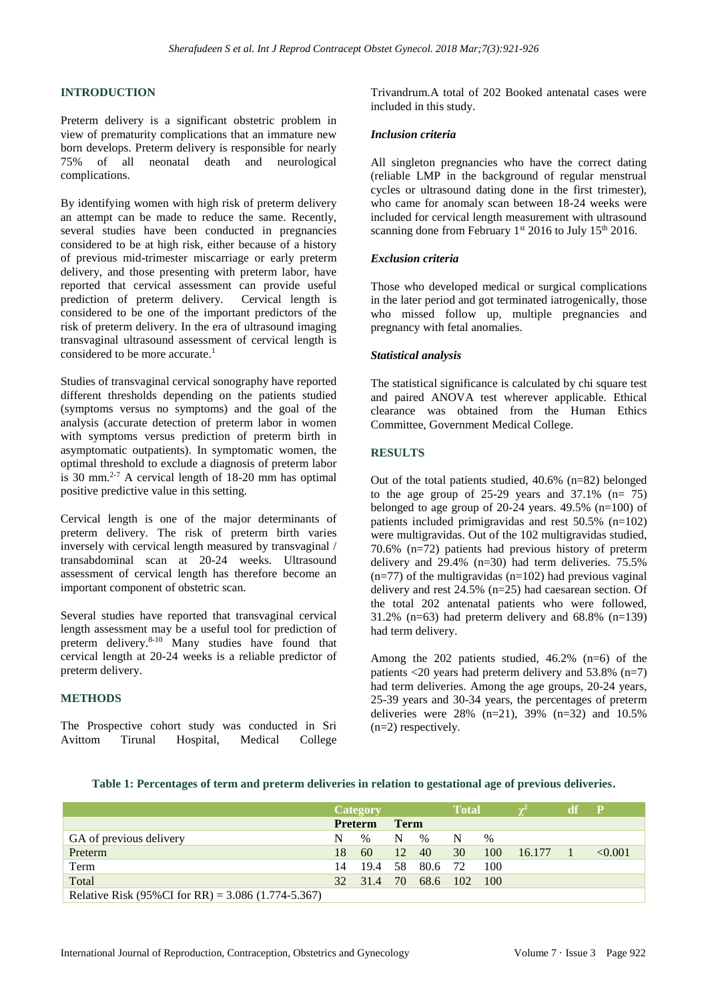## **INTRODUCTION**

Preterm delivery is a significant obstetric problem in view of prematurity complications that an immature new born develops. Preterm delivery is responsible for nearly 75% of all neonatal death and neurological complications.

By identifying women with high risk of preterm delivery an attempt can be made to reduce the same. Recently, several studies have been conducted in pregnancies considered to be at high risk, either because of a history of previous mid-trimester miscarriage or early preterm delivery, and those presenting with preterm labor, have reported that cervical assessment can provide useful prediction of preterm delivery. Cervical length is considered to be one of the important predictors of the risk of preterm delivery. In the era of ultrasound imaging transvaginal ultrasound assessment of cervical length is considered to be more accurate.<sup>1</sup>

Studies of transvaginal cervical sonography have reported different thresholds depending on the patients studied (symptoms versus no symptoms) and the goal of the analysis (accurate detection of preterm labor in women with symptoms versus prediction of preterm birth in asymptomatic outpatients). In symptomatic women, the optimal threshold to exclude a diagnosis of preterm labor is 30 mm.<sup>2-7</sup> A cervical length of  $18-20$  mm has optimal positive predictive value in this setting.

Cervical length is one of the major determinants of preterm delivery. The risk of preterm birth varies inversely with cervical length measured by transvaginal / transabdominal scan at 20-24 weeks. Ultrasound assessment of cervical length has therefore become an important component of obstetric scan.

Several studies have reported that transvaginal cervical length assessment may be a useful tool for prediction of preterm delivery.<sup>8-10</sup> Many studies have found that cervical length at 20-24 weeks is a reliable predictor of preterm delivery.

## **METHODS**

The Prospective cohort study was conducted in Sri Avittom Tirunal Hospital, Medical College Trivandrum.A total of 202 Booked antenatal cases were included in this study.

#### *Inclusion criteria*

All singleton pregnancies who have the correct dating (reliable LMP in the background of regular menstrual cycles or ultrasound dating done in the first trimester), who came for anomaly scan between 18-24 weeks were included for cervical length measurement with ultrasound scanning done from February  $1<sup>st</sup> 2016$  to July  $15<sup>th</sup> 2016$ .

#### *Exclusion criteria*

Those who developed medical or surgical complications in the later period and got terminated iatrogenically, those who missed follow up, multiple pregnancies and pregnancy with fetal anomalies.

#### *Statistical analysis*

The statistical significance is calculated by chi square test and paired ANOVA test wherever applicable. Ethical clearance was obtained from the Human Ethics Committee, Government Medical College.

## **RESULTS**

Out of the total patients studied, 40.6% (n=82) belonged to the age group of  $25-29$  years and  $37.1\%$  (n= 75) belonged to age group of 20-24 years. 49.5% (n=100) of patients included primigravidas and rest 50.5% (n=102) were multigravidas. Out of the 102 multigravidas studied, 70.6% (n=72) patients had previous history of preterm delivery and 29.4% (n=30) had term deliveries. 75.5%  $(n=77)$  of the multigravidas  $(n=102)$  had previous vaginal delivery and rest 24.5% (n=25) had caesarean section. Of the total 202 antenatal patients who were followed, 31.2% ( $n=63$ ) had preterm delivery and 68.8% ( $n=139$ ) had term delivery.

Among the  $202$  patients studied,  $46.2\%$  (n=6) of the patients  $\langle 20 \rangle$  years had preterm delivery and 53.8% (n=7) had term deliveries. Among the age groups, 20-24 years, 25-39 years and 30-34 years, the percentages of preterm deliveries were  $28\%$  (n=21),  $39\%$  (n=32) and  $10.5\%$ (n=2) respectively.

|                                                      | Category       |               |             | <b>Total</b> |     |      | df     | $\mathbf P$ |         |
|------------------------------------------------------|----------------|---------------|-------------|--------------|-----|------|--------|-------------|---------|
|                                                      | <b>Preterm</b> |               | <b>Term</b> |              |     |      |        |             |         |
| GA of previous delivery                              | N              | $\frac{0}{0}$ | N           | $\%$         | N   | $\%$ |        |             |         |
| Preterm                                              | 18             | 60            | 12          | 40           | 30  | 100  | 16.177 |             | < 0.001 |
| Term                                                 | 14             | 19.4          | 58          | 80.6         | 72  | 100  |        |             |         |
| Total                                                | 32             | 31.4          | 70          | 68.6         | 102 | 100  |        |             |         |
| Relative Risk (95%CI for RR) = $3.086$ (1.774-5.367) |                |               |             |              |     |      |        |             |         |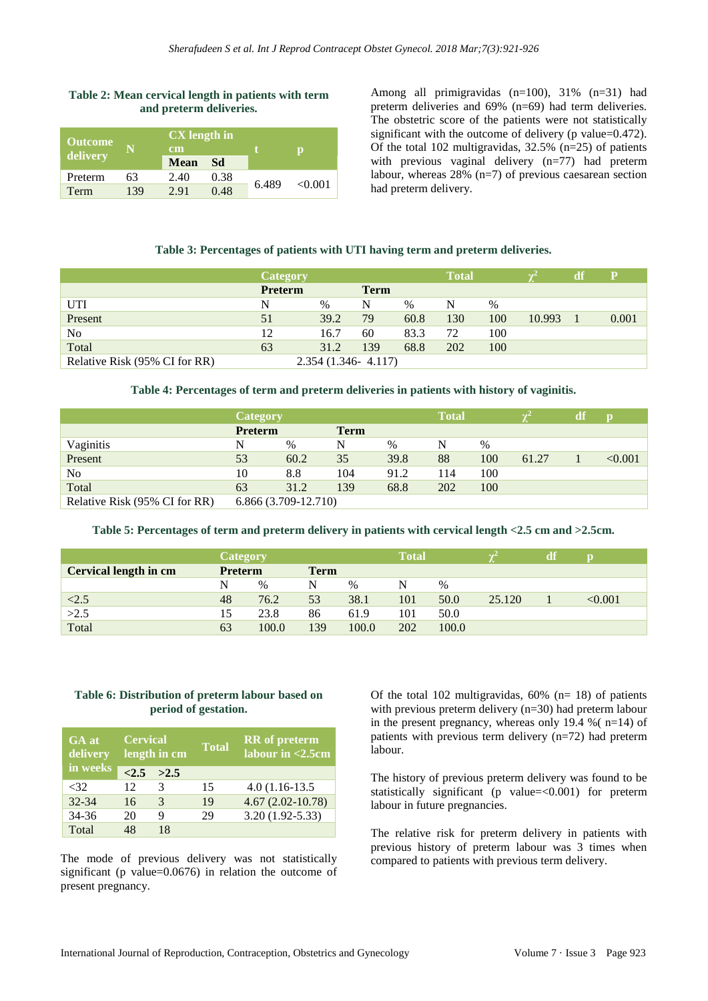#### **Table 2: Mean cervical length in patients with term and preterm deliveries.**

| <b>Outcome</b><br>delivery |     | <b>CX</b> length in<br>cm<br><b>Mean</b><br>Sd |      |       |         |
|----------------------------|-----|------------------------------------------------|------|-------|---------|
| Preterm                    | 63  | 2.40                                           | 0.38 | 6.489 | < 0.001 |
| Term                       | 139 | 2.91                                           | 0.48 |       |         |

Among all primigravidas (n=100), 31% (n=31) had preterm deliveries and 69% (n=69) had term deliveries. The obstetric score of the patients were not statistically significant with the outcome of delivery (p value=0.472). Of the total 102 multigravidas, 32.5% (n=25) of patients with previous vaginal delivery (n=77) had preterm labour, whereas 28% (n=7) of previous caesarean section had preterm delivery.

#### **Table 3: Percentages of patients with UTI having term and preterm deliveries.**

|                               | <b>Category</b> |                        |             |               | <b>Total</b> |      |        | <b>df</b> | $\mathbf{p}$ |
|-------------------------------|-----------------|------------------------|-------------|---------------|--------------|------|--------|-----------|--------------|
|                               | Preterm         |                        | <b>Term</b> |               |              |      |        |           |              |
| <b>UTI</b>                    | N               | $\%$                   | N           | $\frac{0}{0}$ | N            | $\%$ |        |           |              |
| Present                       | 51              | 39.2                   | 79          | 60.8          | 130          | 100  | 10.993 |           | 0.001        |
| N <sub>o</sub>                | 12              | 16.7                   | 60          | 83.3          | 72           | 100  |        |           |              |
| Total                         | 63              | 31.2                   | 139         | 68.8          | 202          | 100  |        |           |              |
| Relative Risk (95% CI for RR) |                 | $2.354(1.346 - 4.117)$ |             |               |              |      |        |           |              |

**Table 4: Percentages of term and preterm deliveries in patients with history of vaginitis.**

|                               | <b>Category</b>      |      |             |      | <b>Total</b> |      |       | df | $\bf{D}$ |
|-------------------------------|----------------------|------|-------------|------|--------------|------|-------|----|----------|
|                               | <b>Preterm</b>       |      | <b>Term</b> |      |              |      |       |    |          |
| Vaginitis                     | N                    | $\%$ | N           | $\%$ | N            | $\%$ |       |    |          |
| Present                       | 53                   | 60.2 | 35          | 39.8 | 88           | 100  | 61.27 |    | < 0.001  |
| No                            | 10                   | 8.8  | 104         | 91.2 | 114          | 100  |       |    |          |
| Total                         | 63                   | 31.2 | 139         | 68.8 | 202          | 100  |       |    |          |
| Relative Risk (95% CI for RR) | 6.866 (3.709-12.710) |      |             |      |              |      |       |    |          |

#### **Table 5: Percentages of term and preterm delivery in patients with cervical length <2.5 cm and >2.5cm.**

|                              | <b>Category</b> |       |             |       | <b>Total</b> |       |        |            |
|------------------------------|-----------------|-------|-------------|-------|--------------|-------|--------|------------|
| <b>Cervical length in cm</b> | <b>Preterm</b>  |       | <b>Term</b> |       |              |       |        |            |
|                              | N               | $\%$  | N           | $\%$  | N            | $\%$  |        |            |
| < 2.5                        | 48              | 76.2  | 53          | 38.1  | 101          | 50.0  | 25.120 | ${<}0.001$ |
| >2.5                         | 15              | 23.8  | 86          | 61.9  | 101          | 50.0  |        |            |
| Total                        | 63              | 100.0 | 139         | 100.0 | 202          | 100.0 |        |            |

## **Table 6: Distribution of preterm labour based on period of gestation.**

| GA at<br>delivery | <b>Cervical</b> | length in cm | <b>Total</b> | <b>RR</b> of preterm<br>labour in <2.5cm |
|-------------------|-----------------|--------------|--------------|------------------------------------------|
| in weeks          | <2.5            | >2.5         |              |                                          |
| <32               | 12              | 3            | 15           | $4.0(1.16-13.5)$                         |
| $32 - 34$         | 16              | 3            | 19           | $4.67(2.02 - 10.78)$                     |
| $34 - 36$         | 20              | Q            | 29           | $3.20(1.92 - 5.33)$                      |
| Total             | 48              | 18           |              |                                          |

The mode of previous delivery was not statistically significant (p value=0.0676) in relation the outcome of present pregnancy.

Of the total  $102$  multigravidas,  $60\%$  (n= 18) of patients with previous preterm delivery (n=30) had preterm labour in the present pregnancy, whereas only 19.4 %  $(n=14)$  of patients with previous term delivery (n=72) had preterm labour.

The history of previous preterm delivery was found to be statistically significant (p value= $<0.001$ ) for preterm labour in future pregnancies.

The relative risk for preterm delivery in patients with previous history of preterm labour was 3 times when compared to patients with previous term delivery.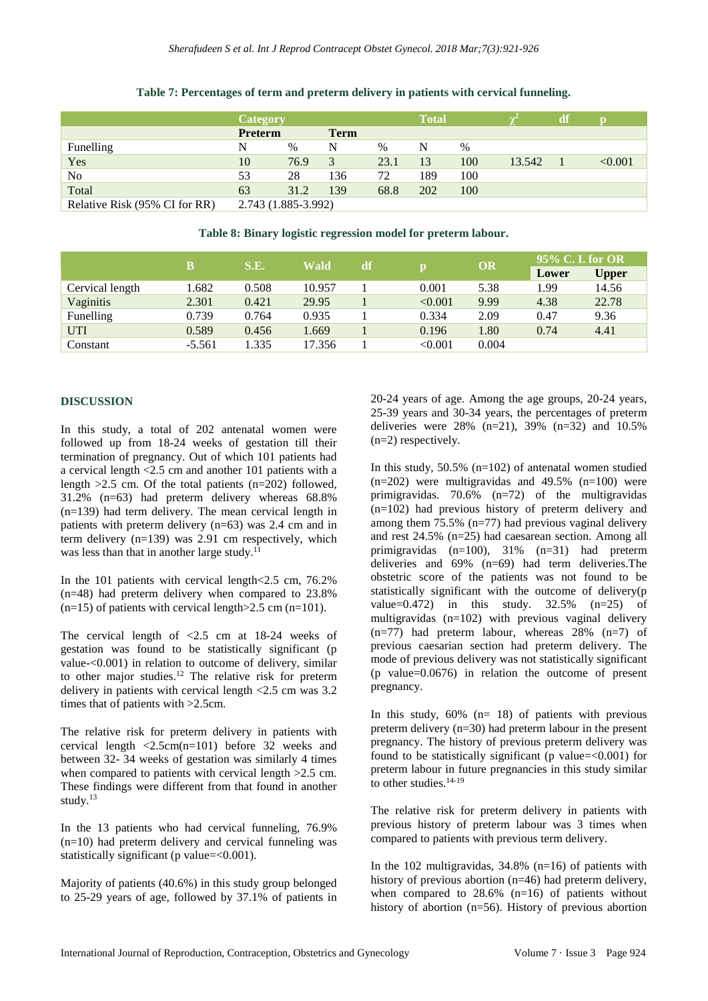|                               | <b>Category</b>     |      |             |      | <b>Total</b> |      |        | <b>df</b> |         |
|-------------------------------|---------------------|------|-------------|------|--------------|------|--------|-----------|---------|
|                               | <b>Preterm</b>      |      | <b>Term</b> |      |              |      |        |           |         |
| Funelling                     | N                   | $\%$ | N           | $\%$ | N            | $\%$ |        |           |         |
| Yes                           | 10                  | 76.9 | 3           | 23.1 | 13           | 100  | 13.542 |           | < 0.001 |
| No                            | 53                  | 28   | 136         | 72   | 189          | 100  |        |           |         |
| Total                         | 63                  | 31.2 | 139         | 68.8 | 202          | 100  |        |           |         |
| Relative Risk (95% CI for RR) | 2.743 (1.885-3.992) |      |             |      |              |      |        |           |         |

## **Table 7: Percentages of term and preterm delivery in patients with cervical funneling.**

**Table 8: Binary logistic regression model for preterm labour.**

|                 | B        | S.E.<br><b>Wald</b> |        | df |         | OR    | 95% C. I. for OR |              |  |
|-----------------|----------|---------------------|--------|----|---------|-------|------------------|--------------|--|
|                 |          |                     |        |    | р       |       | Lower            | <b>Upper</b> |  |
| Cervical length | .682     | 0.508               | 10.957 |    | 0.001   | 5.38  | 1.99             | 14.56        |  |
| Vaginitis       | 2.301    | 0.421               | 29.95  |    | < 0.001 | 9.99  | 4.38             | 22.78        |  |
| Funelling       | 0.739    | 0.764               | 0.935  |    | 0.334   | 2.09  | 0.47             | 9.36         |  |
| <b>UTI</b>      | 0.589    | 0.456               | 1.669  |    | 0.196   | 1.80  | 0.74             | 4.41         |  |
| Constant        | $-5.561$ | .335                | 17.356 |    | < 0.001 | 0.004 |                  |              |  |

## **DISCUSSION**

In this study, a total of 202 antenatal women were followed up from 18-24 weeks of gestation till their termination of pregnancy. Out of which 101 patients had a cervical length <2.5 cm and another 101 patients with a length  $>2.5$  cm. Of the total patients (n=202) followed, 31.2% (n=63) had preterm delivery whereas 68.8% (n=139) had term delivery. The mean cervical length in patients with preterm delivery (n=63) was 2.4 cm and in term delivery  $(n=139)$  was 2.91 cm respectively, which was less than that in another large study.<sup>11</sup>

In the 101 patients with cervical length <2.5 cm, 76.2% (n=48) had preterm delivery when compared to 23.8%  $(n=15)$  of patients with cervical length  $>2.5$  cm  $(n=101)$ .

The cervical length of <2.5 cm at 18-24 weeks of gestation was found to be statistically significant (p value-<0.001) in relation to outcome of delivery, similar to other major studies.<sup>12</sup> The relative risk for preterm delivery in patients with cervical length <2.5 cm was 3.2 times that of patients with >2.5cm.

The relative risk for preterm delivery in patients with cervical length <2.5cm(n=101) before 32 weeks and between 32- 34 weeks of gestation was similarly 4 times when compared to patients with cervical length  $>2.5$  cm. These findings were different from that found in another study.<sup>13</sup>

In the 13 patients who had cervical funneling, 76.9%  $(n=10)$  had preterm delivery and cervical funneling was statistically significant (p value=<0.001).

Majority of patients (40.6%) in this study group belonged to 25-29 years of age, followed by 37.1% of patients in 20-24 years of age. Among the age groups, 20-24 years, 25-39 years and 30-34 years, the percentages of preterm deliveries were  $28\%$  (n=21), 39% (n=32) and 10.5% (n=2) respectively.

In this study,  $50.5\%$  (n=102) of antenatal women studied  $(n=202)$  were multigravidas and 49.5%  $(n=100)$  were primigravidas. 70.6% (n=72) of the multigravidas (n=102) had previous history of preterm delivery and among them 75.5% (n=77) had previous vaginal delivery and rest 24.5% (n=25) had caesarean section. Among all primigravidas (n=100), 31% (n=31) had preterm deliveries and 69% (n=69) had term deliveries.The obstetric score of the patients was not found to be statistically significant with the outcome of delivery(p value= $0.472$ ) in this study.  $32.5\%$  (n= $25$ ) of multigravidas (n=102) with previous vaginal delivery  $(n=77)$  had preterm labour, whereas 28%  $(n=7)$  of previous caesarian section had preterm delivery. The mode of previous delivery was not statistically significant (p value=0.0676) in relation the outcome of present pregnancy.

In this study,  $60\%$  (n= 18) of patients with previous preterm delivery (n=30) had preterm labour in the present pregnancy. The history of previous preterm delivery was found to be statistically significant (p value= $<0.001$ ) for preterm labour in future pregnancies in this study similar to other studies.<sup>14-19</sup>

The relative risk for preterm delivery in patients with previous history of preterm labour was 3 times when compared to patients with previous term delivery.

In the 102 multigravidas,  $34.8\%$  (n=16) of patients with history of previous abortion (n=46) had preterm delivery, when compared to  $28.6\%$  (n=16) of patients without history of abortion (n=56). History of previous abortion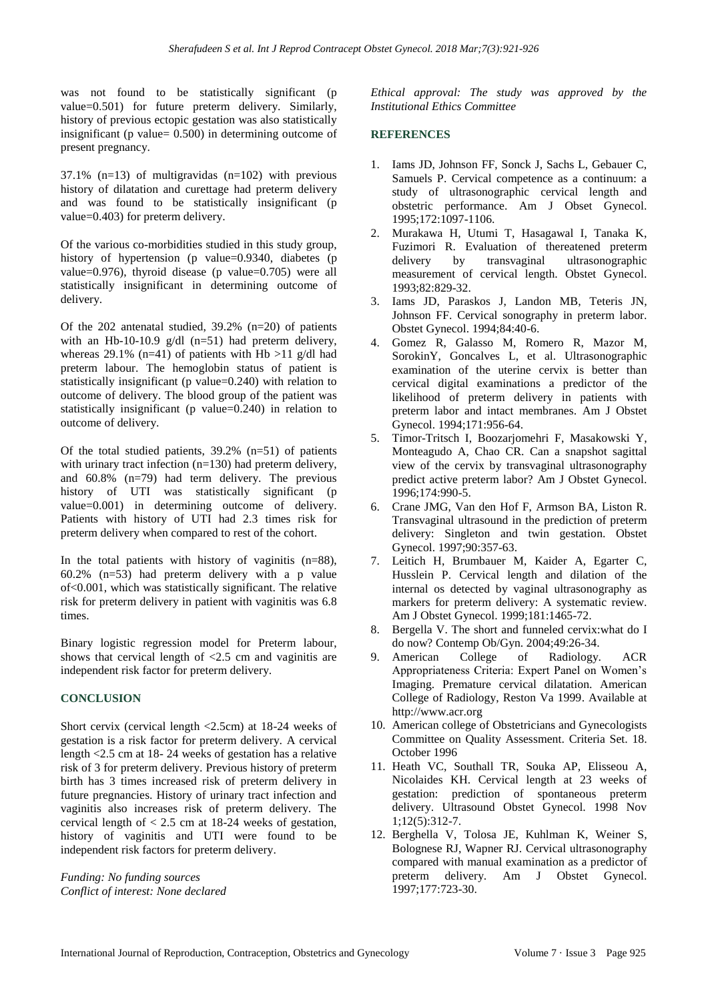was not found to be statistically significant (p value=0.501) for future preterm delivery. Similarly, history of previous ectopic gestation was also statistically insignificant (p value= 0.500) in determining outcome of present pregnancy.

37.1% ( $n=13$ ) of multigravidas ( $n=102$ ) with previous history of dilatation and curettage had preterm delivery and was found to be statistically insignificant (p value=0.403) for preterm delivery.

Of the various co-morbidities studied in this study group, history of hypertension (p value=0.9340, diabetes (p value=0.976), thyroid disease (p value=0.705) were all statistically insignificant in determining outcome of delivery.

Of the 202 antenatal studied, 39.2% (n=20) of patients with an Hb-10-10.9 g/dl (n=51) had preterm delivery, whereas 29.1% (n=41) of patients with Hb  $>11$  g/dl had preterm labour. The hemoglobin status of patient is statistically insignificant (p value=0.240) with relation to outcome of delivery. The blood group of the patient was statistically insignificant (p value=0.240) in relation to outcome of delivery.

Of the total studied patients,  $39.2\%$  (n=51) of patients with urinary tract infection (n=130) had preterm delivery, and 60.8% (n=79) had term delivery. The previous history of UTI was statistically significant (p value=0.001) in determining outcome of delivery. Patients with history of UTI had 2.3 times risk for preterm delivery when compared to rest of the cohort.

In the total patients with history of vaginitis  $(n=88)$ , 60.2% (n=53) had preterm delivery with a p value of<0.001, which was statistically significant. The relative risk for preterm delivery in patient with vaginitis was 6.8 times.

Binary logistic regression model for Preterm labour, shows that cervical length of <2.5 cm and vaginitis are independent risk factor for preterm delivery.

## **CONCLUSION**

Short cervix (cervical length <2.5cm) at 18-24 weeks of gestation is a risk factor for preterm delivery. A cervical length <2.5 cm at 18- 24 weeks of gestation has a relative risk of 3 for preterm delivery. Previous history of preterm birth has 3 times increased risk of preterm delivery in future pregnancies. History of urinary tract infection and vaginitis also increases risk of preterm delivery. The cervical length of  $< 2.5$  cm at 18-24 weeks of gestation, history of vaginitis and UTI were found to be independent risk factors for preterm delivery.

*Funding: No funding sources Conflict of interest: None declared* *Ethical approval: The study was approved by the Institutional Ethics Committee*

## **REFERENCES**

- 1. Iams JD, Johnson FF, Sonck J, Sachs L, Gebauer C, Samuels P. Cervical competence as a continuum: a study of ultrasonographic cervical length and obstetric performance. Am J Obset Gynecol. 1995;172:1097-1106.
- 2. Murakawa H, Utumi T, Hasagawal I, Tanaka K, Fuzimori R. Evaluation of thereatened preterm delivery by transvaginal ultrasonographic measurement of cervical length. Obstet Gynecol. 1993;82:829-32.
- 3. Iams JD, Paraskos J, Landon MB, Teteris JN, Johnson FF. Cervical sonography in preterm labor. Obstet Gynecol. 1994;84:40-6.
- 4. Gomez R, Galasso M, Romero R, Mazor M, SorokinY, Goncalves L, et al. Ultrasonographic examination of the uterine cervix is better than cervical digital examinations a predictor of the likelihood of preterm delivery in patients with preterm labor and intact membranes. Am J Obstet Gynecol. 1994;171:956-64.
- 5. Timor-Tritsch I, Boozarjomehri F, Masakowski Y, Monteagudo A, Chao CR. Can a snapshot sagittal view of the cervix by transvaginal ultrasonography predict active preterm labor? Am J Obstet Gynecol. 1996;174:990-5.
- 6. Crane JMG, Van den Hof F, Armson BA, Liston R. Transvaginal ultrasound in the prediction of preterm delivery: Singleton and twin gestation. Obstet Gynecol. 1997;90:357-63.
- 7. Leitich H, Brumbauer M, Kaider A, Egarter C, Husslein P. Cervical length and dilation of the internal os detected by vaginal ultrasonography as markers for preterm delivery: A systematic review. Am J Obstet Gynecol. 1999;181:1465-72.
- 8. Bergella V. The short and funneled cervix:what do I do now? Contemp Ob/Gyn. 2004;49:26-34.
- 9. American College of Radiology. ACR Appropriateness Criteria: Expert Panel on Women's Imaging. Premature cervical dilatation. American College of Radiology, Reston Va 1999. Available at http://www.acr.org
- 10. American college of Obstetricians and Gynecologists Committee on Quality Assessment. Criteria Set. 18. October 1996
- 11. Heath VC, Southall TR, Souka AP, Elisseou A, Nicolaides KH. Cervical length at 23 weeks of gestation: prediction of spontaneous preterm delivery. Ultrasound Obstet Gynecol. 1998 Nov 1;12(5):312-7.
- 12. Berghella V, Tolosa JE, Kuhlman K, Weiner S, Bolognese RJ, Wapner RJ. Cervical ultrasonography compared with manual examination as a predictor of preterm delivery. Am J Obstet Gynecol. 1997;177:723-30.